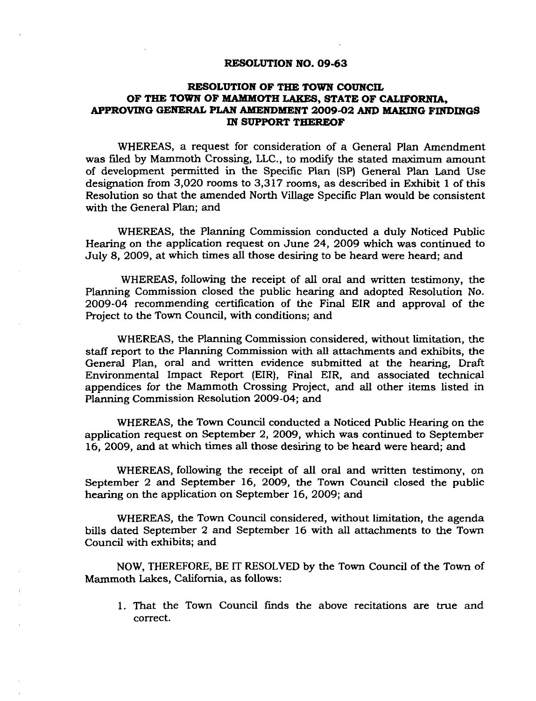#### **RESOLUTION NO. 09-63**

# **RESOLUTION OF THE TOWN COUNCIL**  OF THE TOWN OF MAMMOTH LAKES, STATE OF CALIFORNIA, **APPROVING GENERAL PLAN AMENDMENT 2009-02 AND BIAKING FINDINGS IN SUPPORT THEREOF**

WHEREAS, a request for consideration of a General Plan Amendment was filed by Mammoth Crossing, LLC., to modify the stated maximum amount of development permitted in the Specific Plan (SP) General Plan Land Use designation from 3,020 rooms to 3,317 rooms, as described in Exhibit 1 of this Resolution so that the amended North Village Specific Plan would be consistent with the General Plan; and

WHEREAS, the Planning Commission conducted a duly Noticed Public Hearing on the application request on June 24, 2009 which was continued to July 8, 2009, at which times all those desiring to be heard were heard; and

WHEREAS, following the receipt of all oral and written testimony, the Planning Commission closed the public hearing and adopted Resolution No. 2009-04 recommending certification of the Final EIR and approval of the Project to the Town Council, with conditions; and

WHEREAS, the Planning Commission considered, without limitation, the staff report to the Planning Commission with all attachments and exhibits, the General Plan, oral and written evidence submitted at the hearing. Draft Environmental Impact Report (EIR), Final EIR, and associated technical appendices for the Mammoth Crossing Project, and all other items listed in Planning Commission Resolution 2009-04; and

WHEREAS, the Town Council conducted a Noticed Public Hearing on the application request on September 2, 2009, which was continued to September 16, 2009, and at which times all those desiring to be heard were heard; and

WHEREAS, following the receipt of all oral and written testimony, on September 2 and September 16, 2009, the Town Council closed the public hearing on the application on September 16, 2009; and

WHEREAS, the Town Council considered, without limitation, the agenda bills dated September 2 and September 16 with all attachments to the Town Council with exhibits; and

NOW, THEREFORE, BE IT RESOLVED by the Town Council of the Town of Mammoth Lakes, California, as follows:

1. That the Town Council finds the above recitations are true and correct.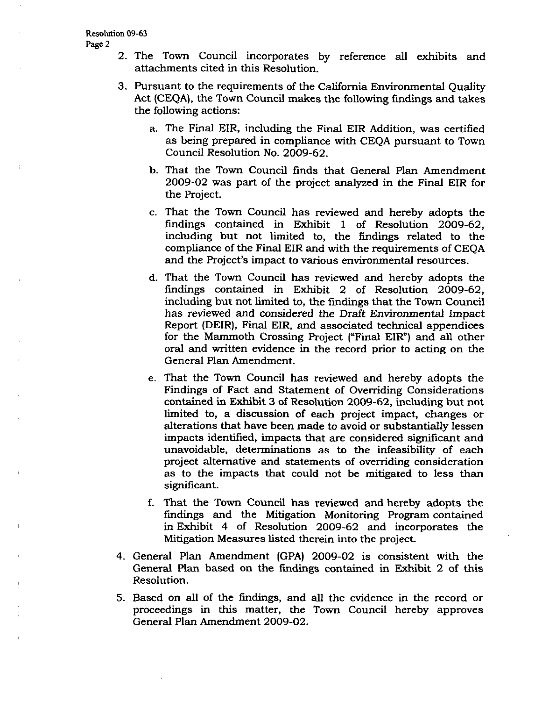- 2. The Town Council incorporates by reference all exhibits and attachments cited in this Resolution.
- 3. Pursuant to the requirements of the California Environmental Quality Act (CEQA), the Town Council makes the following findings and takes the following actions:
	- a. The Final EIR, including the Final EIR Addition, was certified as being prepared in compliance with CEQA pursuant to Town Council Resolution No. 2009-62.
	- b. That the Town Council finds that General Plan Amendment 2009-02 was part of the project analyzed in the Final EIR for the Project.
	- c. That the Town Council has reviewed and hereby adopts the findings contained in Exhibit 1 of Resolution 2009-62, including but not limited to, the findings related to the compliance of the Final EIR and with the requirements of CEQA and the Project's impact to various environmental resources.
	- d. That the Town Council has reviewed and hereby adopts the findings contained in Exhibit 2 of Resolution 2009-62, including but not limited to, the findings that the Town Council has reviewed and considered the Draft Environmental Impact Report (DEIR), Final EIR, and associated technical appendices for the Mammoth Crossing Project ("Final EIR") and all other oral and written evidence in the record prior to acting on the General Plan Amendment.
	- e. That the Town Council has reviewed and hereby adopts the Findings of Fact and Statement of Overriding Considerations contained in Exhibit 3 of Resolution 2009-62, including but not limited to, a discussion of each project impact, changes or alterations that have been made to avoid or substantially lessen impacts identified, impacts that are considered significant and unavoidable, determinations as to the infeasibility of each project alternative and statements of overriding consideration as to the impacts that could not be mitigated to less than significant.
	- f. That the Town Council has reviewed and hereby adopts the findings and the Mitigation Monitoring Program contained in Exhibit 4 of Resolution 2009-62 and incorporates the Mitigation Measures listed therein into the project.
- 4. General Plan Amendment (GPA) 2009-02 is consistent with the General Plan based on the findings contained in E^xhibit 2 of this Resolution.
- 5. Based on all of the findings, and all the evidence in the record or proceedings in this matter, the Town Council hereby approves General Plan Amendment 2009-02.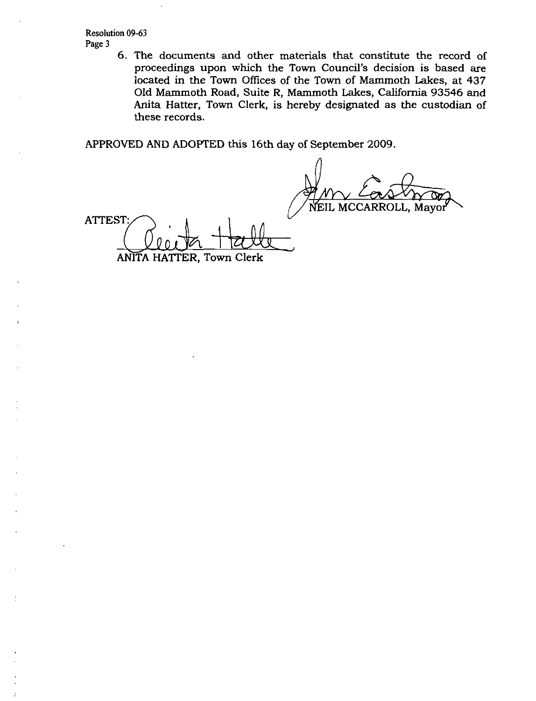Resolution 09-63 Page 3

> 6. The documents and other materials that constitute the record of proceedings upon which the Town Council's decision is based are located in the Town Offices of the Town of Mammoth Lakes, at 437 Old Mammoth Road, Suite R, Mammoth Lakes, California 93546 and Anita Hatter, Town Clerk, is hereby designated as the custodian of these records.

APPROVED AND ADOPTED this 16th day of September 2009.

NEIL MCCARROLL, Mayor **\** 

**ATTEST** 

ANITA HATTER, Town Clerk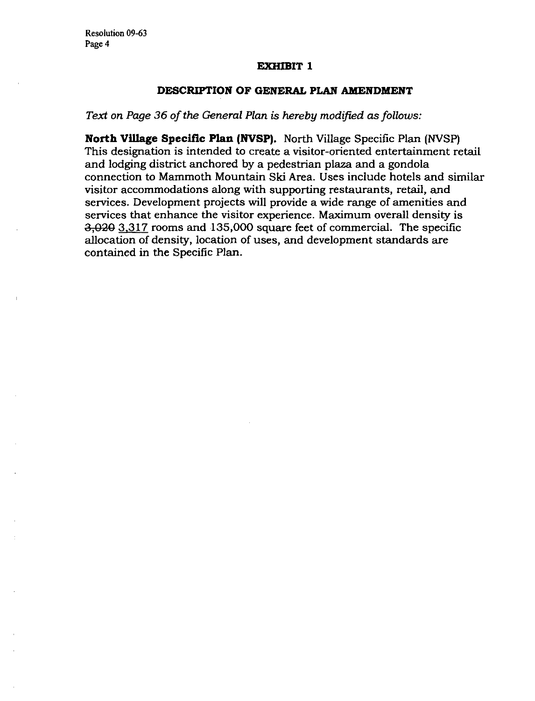## **EXHIBIT 1**

## **DESCRIPTION OF GENERAL PLAN AMENDMENT**

# *Text on Page 36 of the General Plan is hereby modified as follows:*

**North ViUage Specific Plan (NVSP).** North Village Specific Plan (NVSP) This designation is intended to create a visitor-oriented entertainment retail and lodging district anchored by a pedestrian plaza and a gondola connection to Mammoth Mountain Ski Area. Uses include hotels and similar visitor accommodations along with supporting restaurants, retail, and services. Development projects will provide a wide range of amenities and services that enhance the visitor experience. Maximum overall density is 3,030 3,317 rooms and 135,000 square feet of commercial. The specific allocation of density, location of uses, and development standards are contained in the Specific Plan.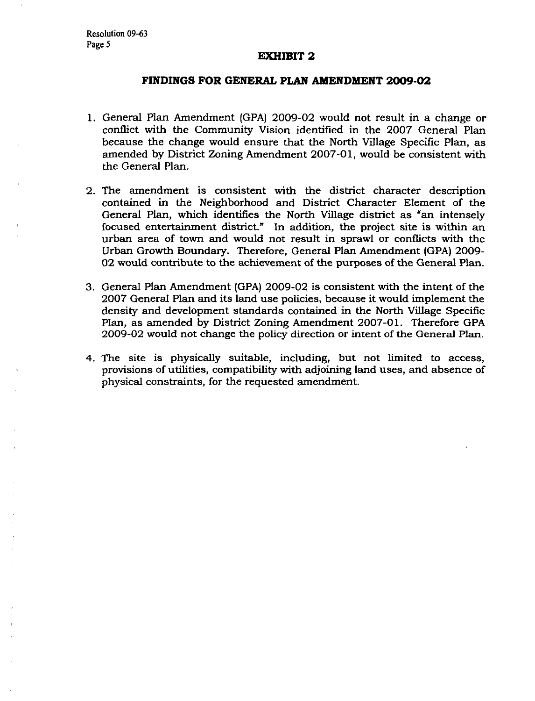### **EXHIBIT 2**

## **FINDINGS FOR GENERAL PLAN AMENDMENT 2009-02**

- 1. General Plan Amendment (GPA) 2009-02 would not result in a change or conflict with the Community Vision identified in the 2007 General Plan because the change would ensure that the North Village Specific Plan, as amended by District Zoning Amendment 2007-01, would be consistent with the General Plan.
- 2. The amendment is consistent with the district character description contained in the Neighborhood and District Character Element of the General Plan, which identifies the North Village district as "an intensely focused entertainment district." In addition, the project site is within an urban area of town and would not result in sprawl or conflicts with the Urban Growth Boundary. Therefore, General Plan Amendment (GPA) 2009-02 would contribute to the achievement of the purposes of the General Plan.
- 3. General Plan Amendment (GPA) 2009-02 is consistent with the intent of the 2007 General Plan and its land use policies, because it would implement the density and development standards contained in the North Village Specific Plan, as amended by District Zoning Amendment 2007-01. Therefore GPA 2009-02 would not change the policy direction or intent of the General Plan.
- 4. The site is physically suitable, including, but not limited to access, provisions of utilities, compatibility with adjoining land uses, and absence of physical constraints, for the requested amendment.